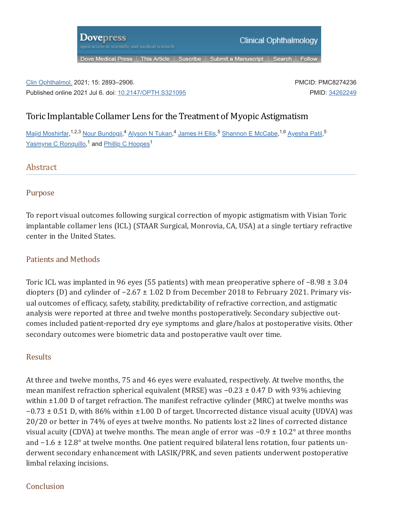

## Clin Ophthalmol. 2021; 15: 2893–2906. Published online 2021 Jul 6. doi: [10.2147/OPTH.S321095](https://doi.org/10.2147%2FOPTH.S321095)

PMCID: PMC8274236 PMID: [34262249](https://pubmed.ncbi.nlm.nih.gov/34262249)

# Toric Implantable Collamer Lens for the Treatment of Myopic Astigmatism

<u>Majid [Moshirfar,](https://pubmed.ncbi.nlm.nih.gov/?term=Moshirfar%20M%5BAuthor%5D)</u><sup>1,2,3</sup> Nour Bundo<u>gji,<sup>4</sup> [Alyson](https://pubmed.ncbi.nlm.nih.gov/?term=Tukan%20AN%5BAuthor%5D) N Tukan,<sup>4</sup> [James](https://pubmed.ncbi.nlm.nih.gov/?term=Ellis%20JH%5BAuthor%5D) H Ellis,<sup>5</sup> [Shannon](https://pubmed.ncbi.nlm.nih.gov/?term=McCabe%20SE%5BAuthor%5D) E McCabe,<sup>1,6</sup> [Ayesha](https://pubmed.ncbi.nlm.nih.gov/?term=Patil%20A%5BAuthor%5D) Patil,<sup>5</sup></u> <u>Yasmyne C Ronquillo</u>,<sup>1</sup> and <u>Phillip C [Hoopes](https://pubmed.ncbi.nlm.nih.gov/?term=Hoopes%20PC%5BAuthor%5D)</u><sup>1</sup>

# **Abstract**

## Purpose

To report visual outcomes following surgical correction of myopic astigmatism with Visian Toric implantable collamer lens (ICL) (STAAR Surgical, Monrovia, CA, USA) at a single tertiary refractive center in the United States.

## Patients and Methods

Toric ICL was implanted in 96 eyes (55 patients) with mean preoperative sphere of −8.98 ± 3.04 diopters (D) and cylinder of −2.67 ± 1.02 D from December 2018 to February 2021. Primary vis‐ ual outcomes of efficacy, safety, stability, predictability of refractive correction, and astigmatic analysis were reported at three and twelve months postoperatively. Secondary subjective out‐ comes included patient-reported dry eye symptoms and glare/halos at postoperative visits. Other secondary outcomes were biometric data and postoperative vault over time.

## Results

At three and twelve months, 75 and 46 eyes were evaluated, respectively. At twelve months, the mean manifest refraction spherical equivalent (MRSE) was −0.23 ± 0.47 D with 93% achieving within  $\pm 1.00$  D of target refraction. The manifest refractive cylinder (MRC) at twelve months was −0.73 ± 0.51 D, with 86% within ±1.00 D of target. Uncorrected distance visual acuity (UDVA) was 20/20 or better in 74% of eyes at twelve months. No patients lost ≥2 lines of corrected distance visual acuity (CDVA) at twelve months. The mean angle of error was −0.9 ± 10.2° at three months and −1.6 ± 12.8° at twelve months. One patient required bilateral lens rotation, four patients underwent secondary enhancement with LASIK/PRK, and seven patients underwent postoperative limbal relaxing incisions.

## Conclusion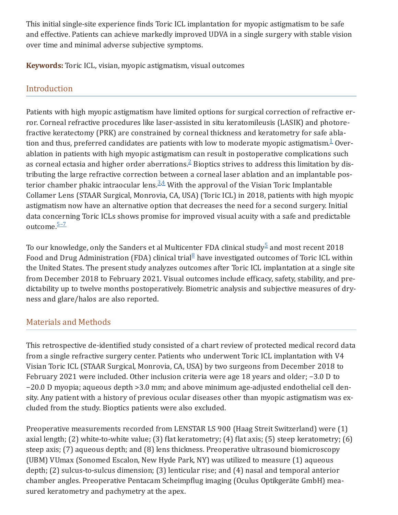This initial single-site experience finds Toric ICL implantation for myopic astigmatism to be safe and effective. Patients can achieve markedly improved UDVA in a single surgery with stable vision over time and minimal adverse subjective symptoms.

**Keywords:** Toric ICL, visian, myopic astigmatism, visual outcomes

# Introduction

Patients with high myopic astigmatism have limited options for surgical correction of refractive er‐ ror. Corneal refractive procedures like laser-assisted in situ keratomileusis (LASIK) and photore‐ fractive keratectomy (PRK) are constrained by corneal thickness and keratometry for safe abla‐ tion and thus, preferred candidates are patients with low to moderate myopic astigmatism. $^{\underline{1}}$  $^{\underline{1}}$  $^{\underline{1}}$  Overablation in patients with high myopic astigmatism can result in postoperative complications such as corneal ectasia and higher order aberrations. $^{2}$  $^{2}$  $^{2}$  Bioptics strives to address this limitation by distributing the large refractive correction between a corneal laser ablation and an implantable pos‐ terior chamber phakic intraocular lens. $3.4$  $3.4$  With the approval of the Visian Toric Implantable Collamer Lens (STAAR Surgical, Monrovia, CA, USA) (Toric ICL) in 2018, patients with high myopic astigmatism now have an alternative option that decreases the need for a second surgery. Initial data concerning Toric ICLs shows promise for improved visual acuity with a safe and predictable outcome.<sup>5-7</sup>

To our knowledge, only the Sanders et al Multicenter FDA clinical study $^5$  $^5$  and most recent 2018 Food and Drug Administration (FDA) clinical trial ${}^{8}$  ${}^{8}$  ${}^{8}$  have investigated outcomes of Toric ICL within the United States. The present study analyzes outcomes after Toric ICL implantation at a single site from December 2018 to February 2021. Visual outcomes include efficacy, safety, stability, and pre‐ dictability up to twelve months postoperatively. Biometric analysis and subjective measures of dry‐ ness and glare/halos are also reported.

# Materials and Methods

This retrospective de-identified study consisted of a chart review of protected medical record data from a single refractive surgery center. Patients who underwent Toric ICL implantation with V4 Visian Toric ICL (STAAR Surgical, Monrovia, CA, USA) by two surgeons from December 2018 to February 2021 were included. Other inclusion criteria were age 18 years and older; −3.0 D to −20.0 D myopia; aqueous depth >3.0 mm; and above minimum age-adjusted endothelial cell den‐ sity. Any patient with a history of previous ocular diseases other than myopic astigmatism was excluded from the study. Bioptics patients were also excluded.

Preoperative measurements recorded from LENSTAR LS 900 (Haag Streit Switzerland) were (1) axial length; (2) white-to-white value; (3) flat keratometry; (4) flat axis; (5) steep keratometry; (6) steep axis; (7) aqueous depth; and (8) lens thickness. Preoperative ultrasound biomicroscopy (UBM) VUmax (Sonomed Escalon, New Hyde Park, NY) was utilized to measure (1) aqueous depth; (2) sulcus-to-sulcus dimension; (3) lenticular rise; and (4) nasal and temporal anterior chamber angles. Preoperative Pentacam Scheimpflug imaging (Oculus Optikgeräte GmbH) mea‐ sured keratometry and pachymetry at the apex.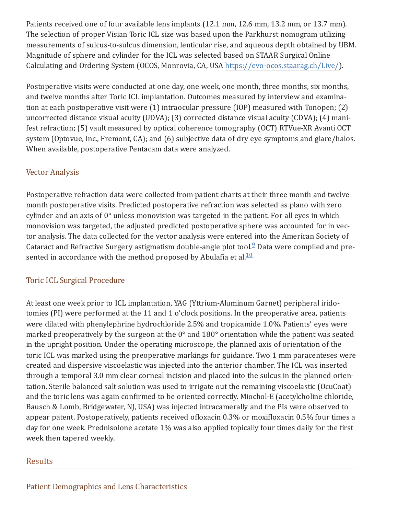Patients received one of four available lens implants (12.1 mm, 12.6 mm, 13.2 mm, or 13.7 mm). The selection of proper Visian Toric ICL size was based upon the Parkhurst nomogram utilizing measurements of sulcus-to-sulcus dimension, lenticular rise, and aqueous depth obtained by UBM. Magnitude of sphere and cylinder for the ICL was selected based on STAAR Surgical Online Calculating and Ordering System (OCOS, Monrovia, CA, USA [https://evo-ocos.staarag.ch/Live/\)](https://evo-ocos.staarag.ch/Live/).

Postoperative visits were conducted at one day, one week, one month, three months, six months, and twelve months after Toric ICL implantation. Outcomes measured by interview and examina‐ tion at each postoperative visit were (1) intraocular pressure (IOP) measured with Tonopen; (2) uncorrected distance visual acuity (UDVA); (3) corrected distance visual acuity (CDVA); (4) mani‐ fest refraction; (5) vault measured by optical coherence tomography (OCT) RTVue-XR Avanti OCT system (Optovue, Inc., Fremont, CA); and (6) subjective data of dry eye symptoms and glare/halos. When available, postoperative Pentacam data were analyzed.

## Vector Analysis

Postoperative refraction data were collected from patient charts at their three month and twelve month postoperative visits. Predicted postoperative refraction was selected as plano with zero cylinder and an axis of 0° unless monovision was targeted in the patient. For all eyes in which monovision was targeted, the adjusted predicted postoperative sphere was accounted for in vec‐ tor analysis. The data collected for the vector analysis were entered into the American Society of Cataract and Refractive Surgery astigmatism double-angle plot tool. $9$  Data were compiled and presented in accordance with the method proposed by Abulafia et al. $^{\underline{10}}$  $^{\underline{10}}$  $^{\underline{10}}$ 

## Toric ICL Surgical Procedure

At least one week prior to ICL implantation, YAG (Yttrium-Aluminum Garnet) peripheral irido‐ tomies (PI) were performed at the 11 and 1 o'clock positions. In the preoperative area, patients were dilated with phenylephrine hydrochloride 2.5% and tropicamide 1.0%. Patients' eyes were marked preoperatively by the surgeon at the 0° and 180° orientation while the patient was seated in the upright position. Under the operating microscope, the planned axis of orientation of the toric ICL was marked using the preoperative markings for guidance. Two 1 mm paracenteses were created and dispersive viscoelastic was injected into the anterior chamber. The ICL was inserted through a temporal 3.0 mm clear corneal incision and placed into the sulcus in the planned orien‐ tation. Sterile balanced salt solution was used to irrigate out the remaining viscoelastic (OcuCoat) and the toric lens was again confirmed to be oriented correctly. Miochol-E (acetylcholine chloride, Bausch & Lomb, Bridgewater, NJ, USA) was injected intracamerally and the PIs were observed to appear patent. Postoperatively, patients received ofloxacin 0.3% or moxifloxacin 0.5% four times a day for one week. Prednisolone acetate 1% was also applied topically four times daily for the first week then tapered weekly.

## Results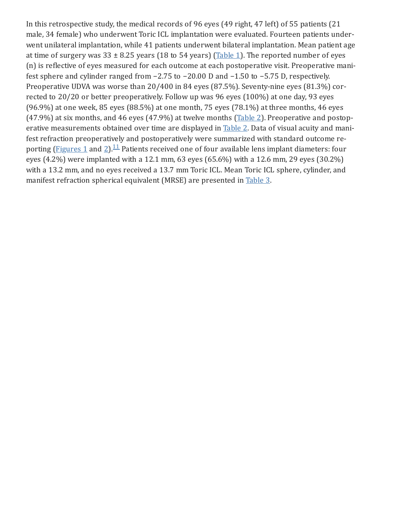In this retrospective study, the medical records of 96 eyes (49 right, 47 left) of 55 patients (21 male, 34 female) who underwent Toric ICL implantation were evaluated. Fourteen patients under‐ went unilateral implantation, while 41 patients underwent bilateral implantation. Mean patient age at time of surgery was  $33 \pm 8.25$  years (18 to 54 years) ([Table](https://www.ncbi.nlm.nih.gov/pmc/articles/PMC8274236/table/t0001/) 1). The reported number of eyes (n) is reflective of eyes measured for each outcome at each postoperative visit. Preoperative mani‐ fest sphere and cylinder ranged from −2.75 to −20.00 D and −1.50 to −5.75 D, respectively. Preoperative UDVA was worse than 20/400 in 84 eyes (87.5%). Seventy-nine eyes (81.3%) corrected to 20/20 or better preoperatively. Follow up was 96 eyes (100%) at one day, 93 eyes (96.9%) at one week, 85 eyes (88.5%) at one month, 75 eyes (78.1%) at three months, 46 eyes (47.9%) at six months, and 46 eyes (47.9%) at twelve months ([Table](https://www.ncbi.nlm.nih.gov/pmc/articles/PMC8274236/table/t0002/) 2). Preoperative and postoperative measurements obtained over time are displayed in **[Table](https://www.ncbi.nlm.nih.gov/pmc/articles/PMC8274236/table/t0002/) 2**. Data of visual acuity and manifest refraction preoperatively and postoperatively were summarized with standard outcome re‐ porting [\(Figures](https://www.ncbi.nlm.nih.gov/pmc/articles/PMC8274236/figure/f0001/) 1 and [2\)](https://www.ncbi.nlm.nih.gov/pmc/articles/PMC8274236/figure/f0002/). $^{11}$  $^{11}$  $^{11}$  Patients received one of four available lens implant diameters: four eyes (4.2%) were implanted with a 12.1 mm, 63 eyes (65.6%) with a 12.6 mm, 29 eyes (30.2%) with a 13.2 mm, and no eyes received a 13.7 mm Toric ICL. Mean Toric ICL sphere, cylinder, and manifest refraction spherical equivalent (MRSE) are presented in [Table](https://www.ncbi.nlm.nih.gov/pmc/articles/PMC8274236/table/t0003/) 3.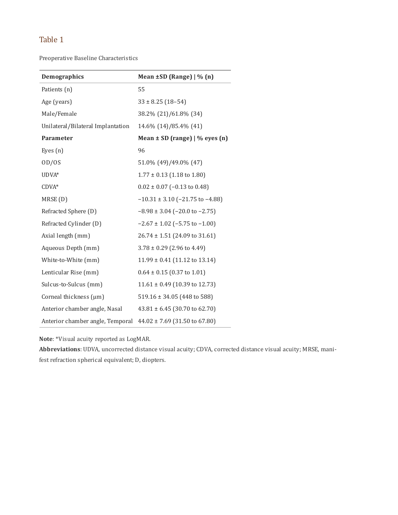Preoperative Baseline Characteristics

| Demographics                      | Mean ±SD (Range)   % (n)                  |
|-----------------------------------|-------------------------------------------|
| Patients (n)                      | 55                                        |
| Age (years)                       | $33 \pm 8.25$ (18-54)                     |
| Male/Female                       | 38.2% (21)/61.8% (34)                     |
| Unilateral/Bilateral Implantation | 14.6% (14)/85.4% (41)                     |
| Parameter                         | Mean $\pm$ SD (range)   % eyes (n)        |
| Eyes $(n)$                        | 96                                        |
| OD/OS                             | 51.0% (49)/49.0% (47)                     |
| UDVA*                             | $1.77 \pm 0.13$ (1.18 to 1.80)            |
| $CDVA*$                           | $0.02 \pm 0.07$ (-0.13 to 0.48)           |
| MRSE(D)                           | $-10.31 \pm 3.10$ ( $-21.75$ to $-4.88$ ) |
| Refracted Sphere (D)              | $-8.98 \pm 3.04$ ( $-20.0$ to $-2.75$ )   |
| Refracted Cylinder (D)            | $-2.67 \pm 1.02$ (-5.75 to -1.00)         |
| Axial length (mm)                 | $26.74 \pm 1.51$ (24.09 to 31.61)         |
| Aqueous Depth (mm)                | $3.78 \pm 0.29$ (2.96 to 4.49)            |
| White-to-White (mm)               | $11.99 \pm 0.41$ (11.12 to 13.14)         |
| Lenticular Rise (mm)              | $0.64 \pm 0.15$ (0.37 to 1.01)            |
| Sulcus-to-Sulcus (mm)             | $11.61 \pm 0.49$ (10.39 to 12.73)         |
| Corneal thickness (µm)            | $519.16 \pm 34.05$ (448 to 588)           |
| Anterior chamber angle, Nasal     | $43.81 \pm 6.45$ (30.70 to 62.70)         |
| Anterior chamber angle, Temporal  | $44.02 \pm 7.69$ (31.50 to 67.80)         |

**Note**: \*Visual acuity reported as LogMAR.

**Abbreviations**: UDVA, uncorrected distance visual acuity; CDVA, corrected distance visual acuity; MRSE, mani‐ fest refraction spherical equivalent; D, diopters.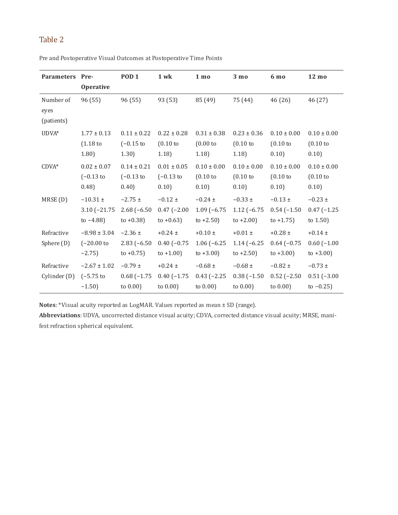| Parameters Pre-                 | <b>Operative</b>                               | POD <sub>1</sub>                                | 1 wk                                         | 1 <sub>mo</sub>                              | 3 <sub>mo</sub>                              | 6 mo                                         | $12 \text{ mo}$                                 |
|---------------------------------|------------------------------------------------|-------------------------------------------------|----------------------------------------------|----------------------------------------------|----------------------------------------------|----------------------------------------------|-------------------------------------------------|
| Number of<br>eyes<br>(patients) | 96 (55)                                        | 96 (55)                                         | 93 (53)                                      | 85 (49)                                      | 75 (44)                                      | 46 (26)                                      | 46 (27)                                         |
| UDVA*                           | $1.77 \pm 0.13$<br>(1.18)<br>(1.80)            | $0.11 \pm 0.22$<br>$(-0.15 \text{ to}$<br>1.30) | $0.22 \pm 0.28$<br>(0.10)<br>1.18            | $0.31 \pm 0.38$<br>(0.00)<br>1.18            | $0.23 \pm 0.36$<br>(0.10)<br>1.18            | $0.10 \pm 0.00$<br>(0.10)<br>0.10)           | $0.10 \pm 0.00$<br>(0.10)<br>0.10)              |
| $CDVA*$                         | $0.02 \pm 0.07$<br>$(-0.13)$ to<br>(0.48)      | $0.14 \pm 0.21$<br>$(-0.13)$ to<br>0.40         | $0.01 \pm 0.05$<br>$(-0.13)$ to<br>0.10      | $0.10 \pm 0.00$<br>(0.10)<br>0.10)           | $0.10 \pm 0.00$<br>(0.10)<br>0.10            | $0.10 \pm 0.00$<br>(0.10)<br>0.10)           | $0.10 \pm 0.00$<br>(0.10)<br>0.10               |
| MRSE(D)                         | $-10.31 \pm$<br>$3.10 (-21.75$<br>to $-4.88$ ) | $-2.75 \pm$<br>$2.68(-6.50)$<br>to $+0.38$ )    | $-0.12 \pm$<br>$0.47(-2.00)$<br>to $+0.63$ ) | $-0.24 \pm$<br>$1.09(-6.75)$<br>to $+2.50$ ) | $-0.33 \pm$<br>$1.12(-6.75)$<br>to $+2.00$ ) | $-0.13 \pm$<br>$0.54(-1.50)$<br>to $+1.75$ ) | $-0.23 \pm$<br>$0.47(-1.25)$<br>to $1.50$ )     |
| Refractive<br>Sphere (D)        | $-8.98 \pm 3.04$<br>$(-20.00)$ to<br>$-2.75$   | $-2.36 \pm$<br>$2.83(-6.50)$<br>to $+0.75$ )    | $+0.24 \pm$<br>$0.40(-0.75)$<br>to $+1.00$ ) | $+0.10 \pm$<br>$1.06(-6.25)$<br>to $+3.00$ ) | $+0.01 \pm$<br>$1.14(-6.25)$<br>to $+2.50$ ) | $+0.28 \pm$<br>$0.64(-0.75)$<br>to $+3.00$ ) | $+0.14 \pm$<br>$0.60$ $(-1.00)$<br>to $+3.00$ ) |
| Refractive<br>Cylinder (D)      | $-2.67 \pm 1.02$<br>$(-5.75)$<br>$-1.50$       | $-0.79 \pm$<br>$0.68(-1.75)$<br>to $0.00$ )     | $+0.24 \pm$<br>$0.40(-1.75)$<br>to $0.00$ )  | $-0.68 \pm$<br>$0.43 (-2.25)$<br>to $0.00$ ) | $-0.68 \pm$<br>$0.38(-1.50)$<br>to $0.00$ )  | $-0.82 \pm$<br>$0.52(-2.50)$<br>to $0.00$ )  | $-0.73 \pm$<br>$0.51(-3.00)$<br>to $-0.25$ )    |

Pre and Postoperative Visual Outcomes at Postoperative Time Points

**Notes**: \*Visual acuity reported as LogMAR. Values reported as mean ± SD (range).

**Abbreviations**: UDVA, uncorrected distance visual acuity; CDVA, corrected distance visual acuity; MRSE, mani‐ fest refraction spherical equivalent.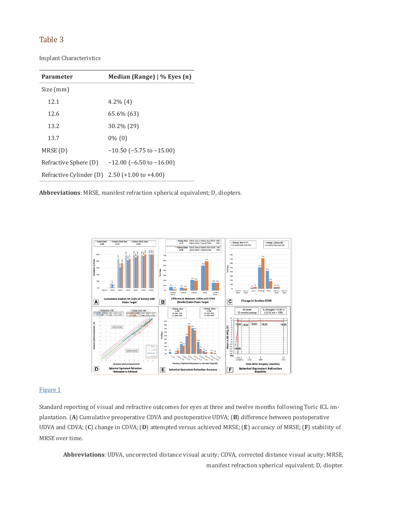Implant Characteristics

| Parameter                                       | Median (Range) $\frac{1}{6}$ Eyes (n) |  |  |  |
|-------------------------------------------------|---------------------------------------|--|--|--|
| Size (mm)                                       |                                       |  |  |  |
| 12.1                                            | $4.2\%$ (4)                           |  |  |  |
| 12.6                                            | 65.6% (63)                            |  |  |  |
| 13.2                                            | 30.2% (29)                            |  |  |  |
| 13.7                                            | $0\%$ (0)                             |  |  |  |
| MRSE(D)                                         | $-10.50$ ( $-5.75$ to $-15.00$ )      |  |  |  |
| Refractive Sphere (D)                           | $-12.00$ ( $-6.50$ to $-16.00$ )      |  |  |  |
| Refractive Cylinder (D) $2.50$ (+1.00 to +4.00) |                                       |  |  |  |

**Abbreviations**: MRSE, manifest refraction spherical equivalent; D, diopters.



#### [Figure](https://www.ncbi.nlm.nih.gov/pmc/articles/PMC8274236/figure/f0001/) 1

Standard reporting of visual and refractive outcomes for eyes at three and twelve months following Toric ICL im‐ plantation. (**A**) Cumulative preoperative CDVA and postoperative UDVA; (**B**) difference between postoperative UDVA and CDVA; (**C**) change in CDVA; (**D**) attempted versus achieved MRSE; (**E**) accuracy of MRSE; (**F**) stability of MRSE over time.

**Abbreviations**: UDVA, uncorrected distance visual acuity; CDVA, corrected distance visual acuity; MRSE, manifest refraction spherical equivalent; D, diopter.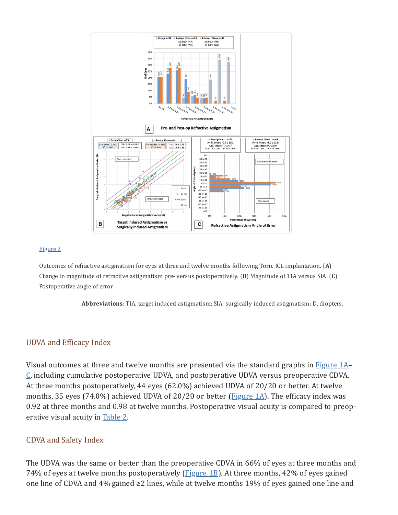

#### [Figure](https://www.ncbi.nlm.nih.gov/pmc/articles/PMC8274236/figure/f0002/) 2

Outcomes of refractive astigmatism for eyes at three and twelve months following Toric ICL implantation. (**A**) Change in magnitude of refractive astigmatism pre- versus postoperatively. (**B**) Magnitude of TIA versus SIA. (**C**) Postoperative angle of error.

**Abbreviations**: TIA, target induced astigmatism; SIA, surgically induced astigmatism; D, diopters.

### UDVA and Efficacy Index

Visual outcomes at three and twelve months are presented via the standard graphs in [Figure](https://www.ncbi.nlm.nih.gov/pmc/articles/PMC8274236/figure/f0001/)  $1A-$ [C](https://www.ncbi.nlm.nih.gov/pmc/articles/PMC8274236/figure/f0001/), including cumulative postoperative UDVA, and postoperative UDVA versus preoperative CDVA. At three months postoperatively, 44 eyes (62.0%) achieved UDVA of 20/20 or better. At twelve months, 35 eyes (74.0%) achieved UDVA of 20/20 or better ( $Figure 1A$ ). The efficacy index was 0.92 at three months and 0.98 at twelve months. Postoperative visual acuity is compared to preop‐ erative visual acuity in [Table](https://www.ncbi.nlm.nih.gov/pmc/articles/PMC8274236/table/t0002/) 2.

### CDVA and Safety Index

The UDVA was the same or better than the preoperative CDVA in 66% of eyes at three months and 74% of eyes at twelve months postoperatively ( $Figure 1B$ ). At three months, 42% of eyes gained one line of CDVA and 4% gained ≥2 lines, while at twelve months 19% of eyes gained one line and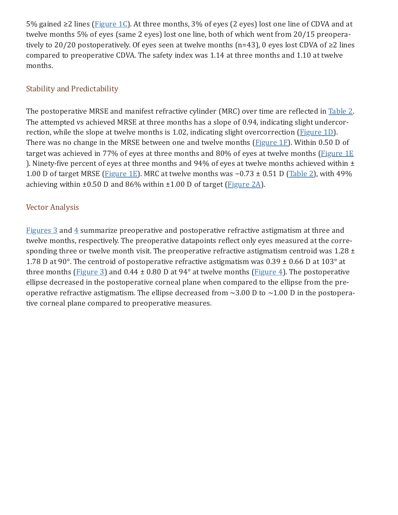5% gained ≥2 lines ([Figure](https://www.ncbi.nlm.nih.gov/pmc/articles/PMC8274236/figure/f0001/) 1C). At three months, 3% of eyes (2 eyes) lost one line of CDVA and at twelve months 5% of eyes (same 2 eyes) lost one line, both of which went from 20/15 preopera‐ tively to 20/20 postoperatively. Of eyes seen at twelve months (n=43), 0 eyes lost CDVA of ≥2 lines compared to preoperative CDVA. The safety index was 1.14 at three months and 1.10 at twelve months.

# Stability and Predictability

The postoperative MRSE and manifest refractive cylinder (MRC) over time are reflected in [Table](https://www.ncbi.nlm.nih.gov/pmc/articles/PMC8274236/table/t0002/) 2. The attempted vs achieved MRSE at three months has a slope of 0.94, indicating slight undercor-rection, while the slope at twelve months is 1.02, indicating slight overcorrection ([Figure](https://www.ncbi.nlm.nih.gov/pmc/articles/PMC8274236/figure/f0001/) 1D). There was no change in the MRSE between one and twelve months ( $Figure 1F$  $Figure 1F$ ). Within 0.50 D of target was achieved in 77% of eyes at three months and 80% of eyes at twelve months [\(Figure](https://www.ncbi.nlm.nih.gov/pmc/articles/PMC8274236/figure/f0001/) 1E) ). Ninety-five percent of eyes at three months and 94% of eyes at twelve months achieved within ± 1.00 D of target MRSE ([Figure](https://www.ncbi.nlm.nih.gov/pmc/articles/PMC8274236/figure/f0001/) 1E). MRC at twelve months was  $-0.73 \pm 0.51$  D [\(Table](https://www.ncbi.nlm.nih.gov/pmc/articles/PMC8274236/table/t0002/) 2), with 49% achieving within  $\pm 0.50$  D and 86% within  $\pm 1.00$  D of target ([Figure](https://www.ncbi.nlm.nih.gov/pmc/articles/PMC8274236/figure/f0002/) 2A).

## Vector Analysis

[Figures](https://www.ncbi.nlm.nih.gov/pmc/articles/PMC8274236/figure/f0003/) 3 and  $4$  summarize preoperative and postoperative refractive astigmatism at three and twelve months, respectively. The preoperative datapoints reflect only eyes measured at the corre‐ sponding three or twelve month visit. The preoperative refractive astigmatism centroid was  $1.28 \pm 1.28$ 1.78 D at 90°. The centroid of postoperative refractive astigmatism was  $0.39 \pm 0.66$  D at  $103^{\circ}$  at three months ([Figure](https://www.ncbi.nlm.nih.gov/pmc/articles/PMC8274236/figure/f0004/) 3) and 0.44  $\pm$  0.80 D at 94 $\degree$  at twelve months (Figure 4). The postoperative ellipse decreased in the postoperative corneal plane when compared to the ellipse from the pre‐ operative refractive astigmatism. The ellipse decreased from  $\sim$ 3.00 D to  $\sim$ 1.00 D in the postoperative corneal plane compared to preoperative measures.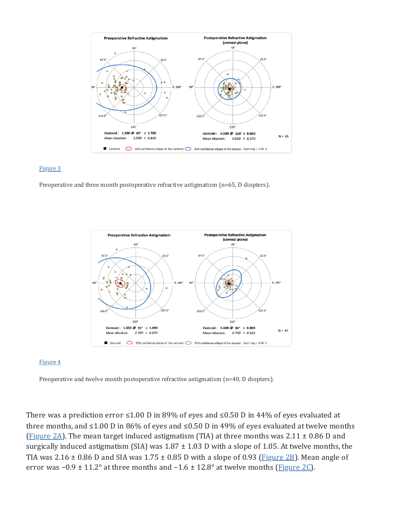

#### [Figure](https://www.ncbi.nlm.nih.gov/pmc/articles/PMC8274236/figure/f0003/) 3

Preoperative and three month postoperative refractive astigmatism (n=65, D diopters).



#### [Figure](https://www.ncbi.nlm.nih.gov/pmc/articles/PMC8274236/figure/f0004/) 4

Preoperative and twelve month postoperative refractive astigmatism (n=40, D diopters).

There was a prediction error ≤1.00 D in 89% of eyes and ≤0.50 D in 44% of eyes evaluated at three months, and  $\leq 1.00$  D in 86% of eyes and  $\leq 0.50$  D in 49% of eyes evaluated at twelve months ([Figure](https://www.ncbi.nlm.nih.gov/pmc/articles/PMC8274236/figure/f0002/) 2A). The mean target induced astigmatism (TIA) at three months was 2.11  $\pm$  0.86 D and surgically induced astigmatism (SIA) was  $1.87 \pm 1.03$  D with a slope of 1.05. At twelve months, the TIA was 2.16  $\pm$  0.86 D and SIA was 1.75  $\pm$  0.85 D with a slope of 0.93 (**[Figure](https://www.ncbi.nlm.nih.gov/pmc/articles/PMC8274236/figure/f0002/) 2B**). Mean angle of error was  $-0.9 \pm 11.2^{\circ}$  at three months and  $-1.6 \pm 12.8^{\circ}$  at twelve months [\(Figure](https://www.ncbi.nlm.nih.gov/pmc/articles/PMC8274236/figure/f0002/) 2C).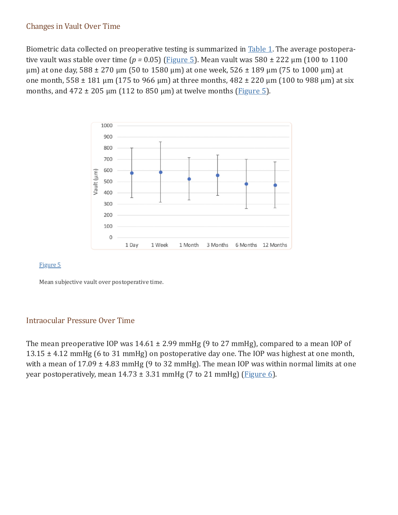### Changes in Vault Over Time

Biometric data collected on preoperative testing is summarized in [Table](https://www.ncbi.nlm.nih.gov/pmc/articles/PMC8274236/table/t0001/) 1. The average postoperative vault was stable over time ( $p = 0.05$ ) [\(Figure](https://www.ncbi.nlm.nih.gov/pmc/articles/PMC8274236/figure/f0005/) 5). Mean vault was  $580 \pm 222$   $\mu$ m (100 to 1100  $\mu$ m) at one day, 588 ± 270  $\mu$ m (50 to 1580  $\mu$ m) at one week, 526 ± 189  $\mu$ m (75 to 1000  $\mu$ m) at one month,  $558 \pm 181$  µm (175 to 966 µm) at three months,  $482 \pm 220$  µm (100 to 988 µm) at six months, and  $472 \pm 205$  µm (112 to 850 µm) at twelve months ([Figure](https://www.ncbi.nlm.nih.gov/pmc/articles/PMC8274236/figure/f0005/) 5).



#### [Figure](https://www.ncbi.nlm.nih.gov/pmc/articles/PMC8274236/figure/f0005/) 5

Mean subjective vault over postoperative time.

## Intraocular Pressure Over Time

The mean preoperative IOP was  $14.61 \pm 2.99$  mmHg (9 to 27 mmHg), compared to a mean IOP of 13.15  $\pm$  4.12 mmHg (6 to 31 mmHg) on postoperative day one. The IOP was highest at one month, with a mean of  $17.09 \pm 4.83$  mmHg (9 to 32 mmHg). The mean IOP was within normal limits at one year postoperatively, mean  $14.73 \pm 3.31$  mmHg (7 to 21 mmHg) [\(Figure](https://www.ncbi.nlm.nih.gov/pmc/articles/PMC8274236/figure/f0006/) 6).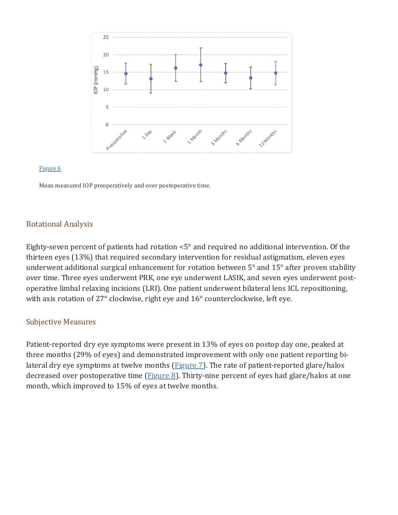

#### [Figure](https://www.ncbi.nlm.nih.gov/pmc/articles/PMC8274236/figure/f0006/) 6

Mean measured IOP preoperatively and over postoperative time.

### Rotational Analysis

Eighty-seven percent of patients had rotation <5° and required no additional intervention. Of the thirteen eyes (13%) that required secondary intervention for residual astigmatism, eleven eyes underwent additional surgical enhancement for rotation between 5° and 15° after proven stability over time. Three eyes underwent PRK, one eye underwent LASIK, and seven eyes underwent postoperative limbal relaxing incisions (LRI). One patient underwent bilateral lens ICL repositioning, with axis rotation of 27° clockwise, right eye and 16° counterclockwise, left eye.

### Subjective Measures

Patient-reported dry eye symptoms were present in 13% of eyes on postop day one, peaked at three months (29% of eyes) and demonstrated improvement with only one patient reporting bi‐ lateral dry eye symptoms at twelve months  $(Figure 7)$  $(Figure 7)$ . The rate of patient-reported glare/halos decreased over postoperative time [\(Figure](https://www.ncbi.nlm.nih.gov/pmc/articles/PMC8274236/figure/f0008/) 8). Thirty-nine percent of eyes had glare/halos at one month, which improved to 15% of eyes at twelve months.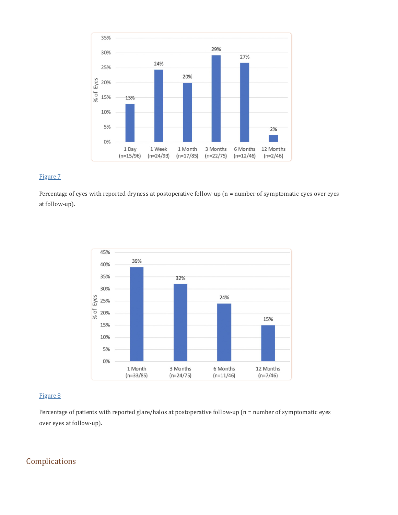

#### [Figure](https://www.ncbi.nlm.nih.gov/pmc/articles/PMC8274236/figure/f0007/) 7

Percentage of eyes with reported dryness at postoperative follow-up (n = number of symptomatic eyes over eyes at follow-up).



#### [Figure](https://www.ncbi.nlm.nih.gov/pmc/articles/PMC8274236/figure/f0008/) 8

Percentage of patients with reported glare/halos at postoperative follow-up (n = number of symptomatic eyes over eyes at follow-up).

## Complications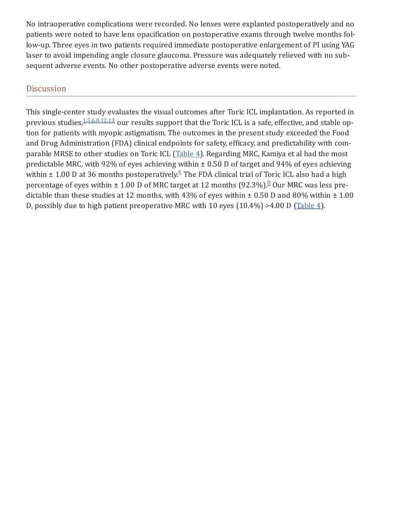No intraoperative complications were recorded. No lenses were explanted postoperatively and no patients were noted to have lens opacification on postoperative exams through twelve months follow-up. Three eyes in two patients required immediate postoperative enlargement of PI using YAG laser to avoid impending angle closure glaucoma. Pressure was adequately relieved with no subsequent adverse events. No other postoperative adverse events were noted.

## **Discussion**

This single-center study evaluates the visual outcomes after Toric ICL implantation. As reported in previous studies, [1,](#page-20-0)[5,](#page-20-4)[6,](#page-20-5)[8,](#page-21-0)[12,](#page-21-4)[13](#page-21-5) our results support that the Toric ICL is a safe, effective, and stable option for patients with myopic astigmatism. The outcomes in the present study exceeded the Food and Drug Administration (FDA) clinical endpoints for safety, efficacy, and predictability with com‐ parable MRSE to other studies on Toric ICL [\(Table](https://www.ncbi.nlm.nih.gov/pmc/articles/PMC8274236/table/t0004/) 4). Regarding MRC, Kamiya et al had the most predictable MRC, with 92% of eyes achieving within ± 0.50 D of target and 94% of eyes achieving within  $\pm$  1.00 D at 3[6](#page-20-5) months postoperatively.  $6$  The FDA clinical trial of Toric ICL also had a high percentage of eyes within  $\pm$  1.00 D of MRC target at 12 months (92.3%). $8$  Our MRC was less predictable than these studies at 12 months, with 43% of eyes within  $\pm$  0.50 D and 80% within  $\pm$  1.00 D, possibly due to high patient preoperative MRC with 10 eyes  $(10.4\%) > 4.00$  D ([Table](https://www.ncbi.nlm.nih.gov/pmc/articles/PMC8274236/table/t0004/) 4).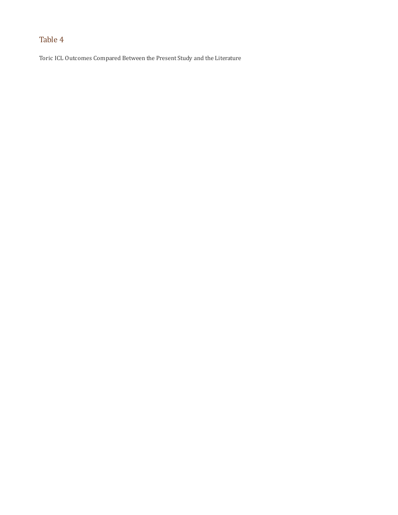Toric ICL Outcomes Compared Between the Present Study and the Literature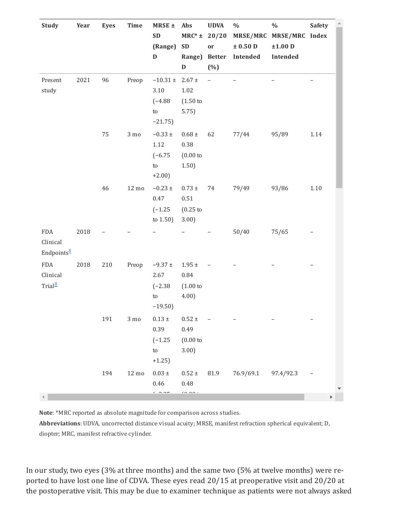| <b>Study</b>                                  | Year | <b>Eyes</b> | Time               | MRSE ±<br><b>SD</b><br>(Range)<br>$\mathbf D$                        | Abs<br>$MRC^*$ ±<br><b>SD</b><br>Range)<br>$\mathbf D$ | <b>UDVA</b><br>20/20<br>or<br><b>Better</b><br>$(\% )$ | $\%$<br>$\pm$ 0.50 D<br>Intended | $\frac{0}{0}$<br>MRSE/MRC MRSE/MRC Index<br>$±1.00$ D<br>Intended | <b>Safety</b> |  |
|-----------------------------------------------|------|-------------|--------------------|----------------------------------------------------------------------|--------------------------------------------------------|--------------------------------------------------------|----------------------------------|-------------------------------------------------------------------|---------------|--|
| Present<br>study                              | 2021 | 96          | Preop              | $-10.31 \pm 2.67 \pm$<br>3.10<br>$(-4.88)$<br>${\sf to}$<br>$-21.75$ | 1.02<br>(1.50)<br>5.75                                 | $\overline{\phantom{0}}$                               |                                  |                                                                   |               |  |
|                                               |      | 75          | $3 \text{ mo}$     | $-0.33 \pm$<br>$1.12\,$<br>$(-6.75)$<br>${\sf to}$<br>$+2.00$        | $0.68\,\pm\,$<br>0.38<br>(0.00)<br>1.50)               | 62                                                     | 77/44                            | 95/89                                                             | 1.14          |  |
|                                               |      | 46          | $12 \text{ mo}$    | $-0.23 \pm$<br>$0.47\,$<br>$(-1.25)$<br>to $1.50$ )                  | $0.73 \ \pm$<br>$0.51\,$<br>$(0.25$ to<br>3.00         | 74                                                     | 79/49                            | 93/86                                                             | $1.10\,$      |  |
| FDA<br>Clinical<br>Endpoints <sup>8</sup>     | 2018 |             |                    |                                                                      | $\overline{\phantom{0}}$                               |                                                        | 50/40                            | 75/65                                                             |               |  |
| ${\rm FDA}$<br>Clinical<br>Trial <sup>8</sup> | 2018 | 210         | Preop              | $-9.37 \pm$<br>2.67<br>$(-2.38)$<br>${\sf t} {\tt o}$<br>$-19.50$    | $1.95\,\pm\,$<br>$\rm 0.84$<br>(1.00)<br>4.00          |                                                        |                                  |                                                                   |               |  |
|                                               |      | 191         | $3 \mathrm{\; mo}$ | $0.13\,\pm\,$<br>0.39<br>$(-1.25)$<br>${\sf t} {\tt o}$<br>$+1.25$   | $0.52\ \pm$<br>0.49<br>(0.00)<br>3.00                  |                                                        |                                  |                                                                   |               |  |
|                                               |      | 194         | $12 \text{ mo}$    | $0.03 \ \pm$<br>0.46<br>$\sim$ $\sim$ $\sim$                         | $0.52\,\pm\,$<br>0.48<br>$\cdots$                      | 81.9                                                   | 76.9/69.1                        | 97.4/92.3                                                         |               |  |

**Note**: \*MRC reported as absolute magnitude for comparison across studies.

**Abbreviations**: UDVA, uncorrected distance visual acuity; MRSE, manifest refraction spherical equivalent; D, diopter; MRC, manifest refractive cylinder.

In our study, two eyes (3% at three months) and the same two (5% at twelve months) were re‐ ported to have lost one line of CDVA. These eyes read 20/15 at preoperative visit and 20/20 at the postoperative visit. This may be due to examiner technique as patients were not always asked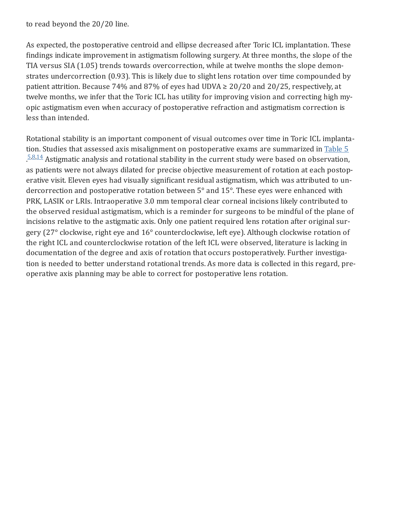to read beyond the 20/20 line.

As expected, the postoperative centroid and ellipse decreased after Toric ICL implantation. These findings indicate improvement in astigmatism following surgery. At three months, the slope of the TIA versus SIA (1.05) trends towards overcorrection, while at twelve months the slope demonstrates undercorrection (0.93). This is likely due to slight lens rotation over time compounded by patient attrition. Because 74% and 87% of eyes had UDVA  $\geq$  20/20 and 20/25, respectively, at twelve months, we infer that the Toric ICL has utility for improving vision and correcting high myopic astigmatism even when accuracy of postoperative refraction and astigmatism correction is less than intended.

Rotational stability is an important component of visual outcomes over time in Toric ICL implanta‐ tion. Studies that assessed axis misalignment on postoperative exams are summarized in [Table](https://www.ncbi.nlm.nih.gov/pmc/articles/PMC8274236/table/t0005/) 5  $5.8,14$  $5.8,14$  $5.8,14$  Astigmatic analysis and rotational stability in the current study were based on observation, as patients were not always dilated for precise objective measurement of rotation at each postop‐ erative visit. Eleven eyes had visually significant residual astigmatism, which was attributed to un‐ dercorrection and postoperative rotation between 5° and 15°. These eyes were enhanced with PRK, LASIK or LRIs. Intraoperative 3.0 mm temporal clear corneal incisions likely contributed to the observed residual astigmatism, which is a reminder for surgeons to be mindful of the plane of incisions relative to the astigmatic axis. Only one patient required lens rotation after original surgery (27° clockwise, right eye and 16° counterclockwise, left eye). Although clockwise rotation of the right ICL and counterclockwise rotation of the left ICL were observed, literature is lacking in documentation of the degree and axis of rotation that occurs postoperatively. Further investiga‐ tion is needed to better understand rotational trends. As more data is collected in this regard, pre‐ operative axis planning may be able to correct for postoperative lens rotation.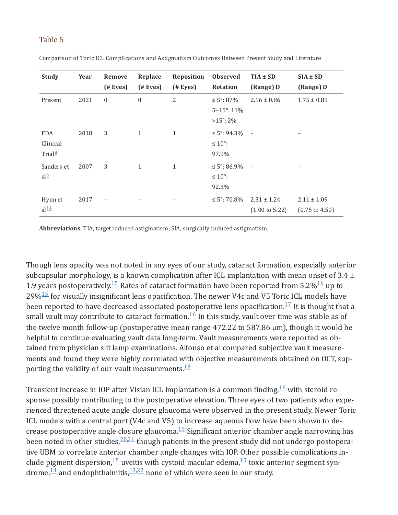| <b>Study</b>                                  | Year | Remove<br>$($ # Eyes $)$ | Replace<br>$($ # Eyes $)$ | Reposition<br>$($ # Eyes $)$ | <b>Observed</b><br><b>Rotation</b>                        | $TIA \pm SD$<br>(Range) D                    | $SIA \pm SD$<br>(Range) D                    |
|-----------------------------------------------|------|--------------------------|---------------------------|------------------------------|-----------------------------------------------------------|----------------------------------------------|----------------------------------------------|
| Present                                       | 2021 | $\mathbf{0}$             | $\mathbf{0}$              | 2                            | ≤ 5°: 87%<br>$5 - 15^{\circ}$ : 11%<br>$>15^{\circ}$ : 2% | $2.16 \pm 0.86$                              | $1.75 \pm 0.85$                              |
| <b>FDA</b><br>Clinical<br>Trial $\frac{8}{2}$ | 2018 | 3                        | $\mathbf{1}$              | $\mathbf{1}$                 | $\leq 5^{\circ}$ : 94.3%<br>$\leq 10^{\circ}$ :<br>97.9%  |                                              |                                              |
| Sanders et<br>$al^{\frac{5}{2}}$              | 2007 | 3                        | $\mathbf{1}$              | $\mathbf{1}$                 | $\leq 5^{\circ}$ : 86.9%<br>$\leq 10^{\circ}$ :<br>92.3%  |                                              |                                              |
| Hyun et<br>al <sup>14</sup>                   | 2017 | $\overline{\phantom{m}}$ |                           |                              | $\leq 5^{\circ}$ : 70.8%                                  | $2.31 \pm 1.24$<br>$(1.00 \text{ to } 5.22)$ | $2.11 \pm 1.09$<br>$(0.75 \text{ to } 4.50)$ |

Comparison of Toric ICL Complications and Astigmatism Outcomes Between Present Study and Literature

**Abbreviations**: TIA, target induced astigmatism; SIA, surgically induced astigmatism.

Though lens opacity was not noted in any eyes of our study, cataract formation, especially anterior subcapsular morphology, is a known complication after ICL implantation with mean onset of  $3.4 \pm$ 1.9 years postoperatively.<sup>[15](#page-21-7)</sup> Rates of cataract formation have been reported from 5.2%<sup>[16](#page-21-8)</sup> up to 29% $\frac{15}{15}$  $\frac{15}{15}$  $\frac{15}{15}$  for visually insignificant lens opacification. The newer V4c and V5 Toric ICL models have been reported to have decreased associated postoperative lens opacification. $^{17}$  $^{17}$  $^{17}$  It is thought that a small vault may contribute to cataract formation. $^{16}$  $^{16}$  $^{16}$  In this study, vault over time was stable as of the twelve month follow-up (postoperative mean range 472.22 to 587.86 µm), though it would be helpful to continue evaluating vault data long-term. Vault measurements were reported as obtained from physician slit lamp examinations. Alfonso et al compared subjective vault measure‐ ments and found they were highly correlated with objective measurements obtained on OCT, supporting the validity of our vault measurements. $\frac{18}{3}$  $\frac{18}{3}$  $\frac{18}{3}$ 

Transient increase in IOP after Visian ICL implantation is a common finding, $^{16}$  $^{16}$  $^{16}$  with steroid response possibly contributing to the postoperative elevation. Three eyes of two patients who experienced threatened acute angle closure glaucoma were observed in the present study. Newer Toric ICL models with a central port (V4c and V5) to increase aqueous flow have been shown to de‐ crease postoperative angle closure glaucoma. $^{19}$  $^{19}$  $^{19}$  Significant anterior chamber angle narrowing has been noted in other studies, $\frac{20,21}{\pi}$  $\frac{20,21}{\pi}$  $\frac{20,21}{\pi}$  $\frac{20,21}{\pi}$  though patients in the present study did not undergo postoperative UBM to correlate anterior chamber angle changes with IOP. Other possible complications in‐ clude pigment dispersion, $^{15}$  $^{15}$  $^{15}$  uveitis with cystoid macular edema, $^{15}$  toxic anterior segment syndrome, $\frac{13}{3}$  $\frac{13}{3}$  $\frac{13}{3}$  and endophthalmitis, $\frac{13,22}{2}$  $\frac{13,22}{2}$  $\frac{13,22}{2}$  $\frac{13,22}{2}$  none of which were seen in our study.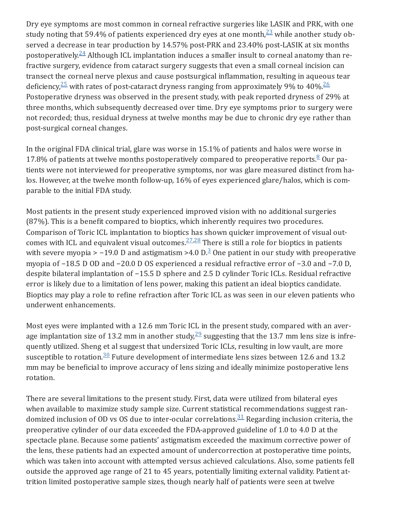Dry eye symptoms are most common in corneal refractive surgeries like LASIK and PRK, with one study noting that 59.4% of patients experienced dry eyes at one month, $^{23}_{2}$  $^{23}_{2}$  $^{23}_{2}$  while another study observed a decrease in tear production by 14.57% post-PRK and 23.40% post-LASIK at six months postoperatively. $\frac{24}{ }$  $\frac{24}{ }$  $\frac{24}{ }$  Although ICL implantation induces a smaller insult to corneal anatomy than refractive surgery, evidence from cataract surgery suggests that even a small corneal incision can transect the corneal nerve plexus and cause postsurgical inflammation, resulting in aqueous tear deficiency, $25$  with rates of post-cataract dryness ranging from approximately 9% to 40%. $26$ Postoperative dryness was observed in the present study, with peak reported dryness of 29% at three months, which subsequently decreased over time. Dry eye symptoms prior to surgery were not recorded; thus, residual dryness at twelve months may be due to chronic dry eye rather than post-surgical corneal changes.

In the original FDA clinical trial, glare was worse in 15.1% of patients and halos were worse in 17.[8](#page-21-0)% of patients at twelve months postoperatively compared to preoperative reports. $\frac{8}{3}$  Our patients were not interviewed for preoperative symptoms, nor was glare measured distinct from halos. However, at the twelve month follow-up, 16% of eyes experienced glare/halos, which is comparable to the initial FDA study.

Most patients in the present study experienced improved vision with no additional surgeries (87%). This is a benefit compared to bioptics, which inherently requires two procedures. Comparison of Toric ICL implantation to bioptics has shown quicker improvement of visual out‐ comes with ICL and equivalent visual outcomes. $\frac{27,28}{27}$  $\frac{27,28}{27}$  $\frac{27,28}{27}$  $\frac{27,28}{27}$  There is still a role for bioptics in patients with severe myopia > -19.0 D and astigmatism >4.0 D.<sup>[3](#page-20-2)</sup> One patient in our study with preoperative myopia of −18.5 D OD and −20.0 D OS experienced a residual refractive error of −3.0 and −7.0 D, despite bilateral implantation of −15.5 D sphere and 2.5 D cylinder Toric ICLs. Residual refractive error is likely due to a limitation of lens power, making this patient an ideal bioptics candidate. Bioptics may play a role to refine refraction after Toric ICL as was seen in our eleven patients who underwent enhancements.

Most eyes were implanted with a 12.6 mm Toric ICL in the present study, compared with an average implantation size of 13.2 mm in another study, $\frac{29}{7}$  $\frac{29}{7}$  $\frac{29}{7}$  suggesting that the 13.7 mm lens size is infrequently utilized. Sheng et al suggest that undersized Toric ICLs, resulting in low vault, are more susceptible to rotation.  $30$  Future development of intermediate lens sizes between 12.6 and 13.2 mm may be beneficial to improve accuracy of lens sizing and ideally minimize postoperative lens rotation.

There are several limitations to the present study. First, data were utilized from bilateral eyes when available to maximize study sample size. Current statistical recommendations suggest randomized inclusion of OD vs OS due to inter-ocular correlations. $31$  Regarding inclusion criteria, the preoperative cylinder of our data exceeded the FDA-approved guideline of 1.0 to 4.0 D at the spectacle plane. Because some patients' astigmatism exceeded the maximum corrective power of the lens, these patients had an expected amount of undercorrection at postoperative time points, which was taken into account with attempted versus achieved calculations. Also, some patients fell outside the approved age range of 21 to 45 years, potentially limiting external validity. Patient at‐ trition limited postoperative sample sizes, though nearly half of patients were seen at twelve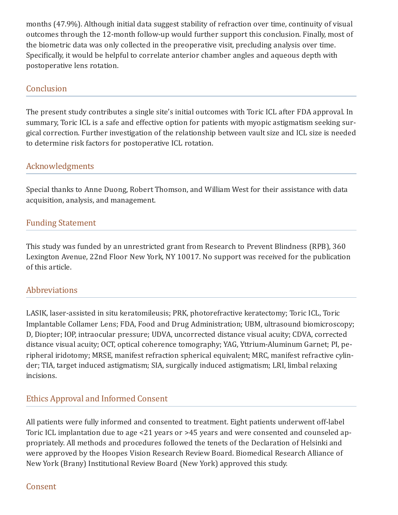months (47.9%). Although initial data suggest stability of refraction over time, continuity of visual outcomes through the 12-month follow-up would further support this conclusion. Finally, most of the biometric data was only collected in the preoperative visit, precluding analysis over time. Specifically, it would be helpful to correlate anterior chamber angles and aqueous depth with postoperative lens rotation.

# **Conclusion**

The present study contributes a single site's initial outcomes with Toric ICL after FDA approval. In summary, Toric ICL is a safe and effective option for patients with myopic astigmatism seeking surgical correction. Further investigation of the relationship between vault size and ICL size is needed to determine risk factors for postoperative ICL rotation.

# Acknowledgments

Special thanks to Anne Duong, Robert Thomson, and William West for their assistance with data acquisition, analysis, and management.

## Funding Statement

This study was funded by an unrestricted grant from Research to Prevent Blindness (RPB), 360 Lexington Avenue, 22nd Floor New York, NY 10017. No support was received for the publication of this article.

## Abbreviations

LASIK, laser-assisted in situ keratomileusis; PRK, photorefractive keratectomy; Toric ICL, Toric Implantable Collamer Lens; FDA, Food and Drug Administration; UBM, ultrasound biomicroscopy; D, Diopter; IOP, intraocular pressure; UDVA, uncorrected distance visual acuity; CDVA, corrected distance visual acuity; OCT, optical coherence tomography; YAG, Yttrium-Aluminum Garnet; PI, pe‐ ripheral iridotomy; MRSE, manifest refraction spherical equivalent; MRC, manifest refractive cylin‐ der; TIA, target induced astigmatism; SIA, surgically induced astigmatism; LRI, limbal relaxing incisions.

## Ethics Approval and Informed Consent

All patients were fully informed and consented to treatment. Eight patients underwent off-label Toric ICL implantation due to age <21 years or >45 years and were consented and counseled ap‐ propriately. All methods and procedures followed the tenets of the Declaration of Helsinki and were approved by the Hoopes Vision Research Review Board. Biomedical Research Alliance of New York (Brany) Institutional Review Board (New York) approved this study.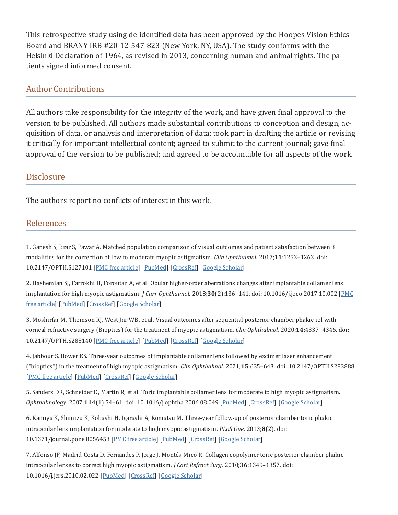This retrospective study using de-identified data has been approved by the Hoopes Vision Ethics Board and BRANY IRB #20-12-547-823 (New York, NY, USA). The study conforms with the Helsinki Declaration of 1964, as revised in 2013, concerning human and animal rights. The pa‐ tients signed informed consent.

## Author Contributions

All authors take responsibility for the integrity of the work, and have given final approval to the version to be published. All authors made substantial contributions to conception and design, ac‐ quisition of data, or analysis and interpretation of data; took part in drafting the article or revising it critically for important intellectual content; agreed to submit to the current journal; gave final approval of the version to be published; and agreed to be accountable for all aspects of the work.

## **Disclosure**

The authors report no conflicts of interest in this work.

## References

<span id="page-20-0"></span>1. Ganesh S, Brar S, Pawar A. Matched population comparison of visual outcomes and patient satisfaction between 3 modalities for the correction of low to moderate myopic astigmatism. *Clin Ophthalmol*. 2017;**11**:1253–1263. doi: 10.2147/OPTH.S127101 [PMC free [article\]](https://www.ncbi.nlm.nih.gov/pmc/articles/PMC5505606/) [[PubMed](https://pubmed.ncbi.nlm.nih.gov/28740361)] [[CrossRef](https://doi.org/10.2147%2FOPTH.S127101)] [Google [Scholar](https://scholar.google.com/scholar_lookup?journal=Clin+Ophthalmol&title=Matched+population+comparison+of+visual+outcomes+and+patient+satisfaction+between+3+modalities+for+the+correction+of+low+to+moderate+myopic+astigmatism&volume=11&publication_year=2017&pages=1253-1263&pmid=28740361&doi=10.2147/OPTH.S127101&)]

<span id="page-20-1"></span>2. Hashemian SJ, Farrokhi H, Foroutan A, et al. Ocular higher-order aberrations changes after implantable collamer lens implantation for high myopic astigmatism. *J Curr Ophthalmol*. 2018;**30**(2):136–141. doi: [10.1016/j.joco.2017.10.002](https://www.ncbi.nlm.nih.gov/pmc/articles/PMC6033773/) [PMC free article] [[PubMed\]](https://pubmed.ncbi.nlm.nih.gov/29988885) [[CrossRef](https://doi.org/10.1016%2Fj.joco.2017.10.002)] [Google [Scholar](https://scholar.google.com/scholar_lookup?journal=J+Curr+Ophthalmol&title=Ocular+higher-order+aberrations+changes+after+implantable+collamer+lens+implantation+for+high+myopic+astigmatism&volume=30&issue=2&publication_year=2018&pages=136-141&pmid=29988885&doi=10.1016/j.joco.2017.10.002&)]

<span id="page-20-2"></span>3. Moshirfar M, Thomson RJ, West Jnr WB, et al. Visual outcomes after sequential posterior chamber phakic iol with corneal refractive surgery (Bioptics) for the treatment of myopic astigmatism. *Clin Ophthalmol*. 2020;**14**:4337–4346. doi: 10.2147/OPTH.S285140 [PMC free [article\]](https://www.ncbi.nlm.nih.gov/pmc/articles/PMC7734069/) [[PubMed](https://pubmed.ncbi.nlm.nih.gov/33328722)] [[CrossRef](https://doi.org/10.2147%2FOPTH.S285140)] [Google [Scholar](https://scholar.google.com/scholar_lookup?journal=Clin+Ophthalmol&title=Visual+outcomes+after+sequential+posterior+chamber+phakic+iol+with+corneal+refractive+surgery+(Bioptics)+for+the+treatment+of+myopic+astigmatism&volume=14&publication_year=2020&pages=4337-4346&pmid=33328722&doi=10.2147/OPTH.S285140&)]

<span id="page-20-3"></span>4. Jabbour S, Bower KS. Three-year outcomes of implantable collamer lens followed by excimer laser enhancement ("bioptics") in the treatment of high myopic astigmatism. *Clin Ophthalmol*. 2021;**15**:635–643. doi: 10.2147/OPTH.S283888 [PMC free [article](https://www.ncbi.nlm.nih.gov/pmc/articles/PMC7896759/)] [[PubMed\]](https://pubmed.ncbi.nlm.nih.gov/33623364) [[CrossRef](https://doi.org/10.2147%2FOPTH.S283888)] [Google [Scholar\]](https://scholar.google.com/scholar_lookup?journal=Clin+Ophthalmol&title=Three-year+outcomes+of+implantable+collamer+lens+followed+by+excimer+laser+enhancement+(%E2%80%9Cbioptics%E2%80%9D)+in+the+treatment+of+high+myopic+astigmatism&volume=15&publication_year=2021&pages=635-643&pmid=33623364&doi=10.2147/OPTH.S283888&)

<span id="page-20-4"></span>5. Sanders DR, Schneider D, Martin R, et al. Toric implantable collamer lens for moderate to high myopic astigmatism. *Ophthalmology*. 2007;**114**(1):54–61. doi: 10.1016/j.ophtha.2006.08.049 [[PubMed](https://pubmed.ncbi.nlm.nih.gov/17198849)] [[CrossRef\]](https://doi.org/10.1016%2Fj.ophtha.2006.08.049) [Google [Scholar](https://scholar.google.com/scholar_lookup?journal=Ophthalmology&title=Toric+implantable+collamer+lens+for+moderate+to+high+myopic+astigmatism&volume=114&issue=1&publication_year=2007&pages=54-61&pmid=17198849&doi=10.1016/j.ophtha.2006.08.049&)]

<span id="page-20-5"></span>6. Kamiya K, Shimizu K, Kobashi H, Igarashi A, Komatsu M. Three-year follow-up of posterior chamber toric phakic intraocular lens implantation for moderate to high myopic astigmatism. *PLoS One*. 2013;**8**(2). doi: 10.1371/journal.pone.0056453 [PMC free [article](https://www.ncbi.nlm.nih.gov/pmc/articles/PMC3568037/)] [[PubMed\]](https://pubmed.ncbi.nlm.nih.gov/23409187) [[CrossRef](https://doi.org/10.1371%2Fjournal.pone.0056453)] [Google [Scholar](https://scholar.google.com/scholar_lookup?journal=PLoS+One&title=Three-year+follow-up+of+posterior+chamber+toric+phakic+intraocular+lens+implantation+for+moderate+to+high+myopic+astigmatism&volume=8&issue=2&publication_year=2013&doi=10.1371/journal.pone.0056453&)]

7. Alfonso JF, Madrid-Costa D, Fernandes P, Jorge J, Montés-Micó R. Collagen copolymer toric posterior chamber phakic intraocular lenses to correct high myopic astigmatism. *J Cart Refract Surg*. 2010;**36**:1349–1357. doi: 10.1016/j.jcrs.2010.02.022 [[PubMed\]](https://pubmed.ncbi.nlm.nih.gov/20656159) [[CrossRef\]](https://doi.org/10.1016%2Fj.jcrs.2010.02.022) [Google [Scholar](https://scholar.google.com/scholar_lookup?journal=J+Cart+Refract+Surg&title=Collagen+copolymer+toric+posterior+chamber+phakic+intraocular+lenses+to+correct+high+myopic+astigmatism&volume=36&publication_year=2010&pages=1349-1357&doi=10.1016/j.jcrs.2010.02.022&)]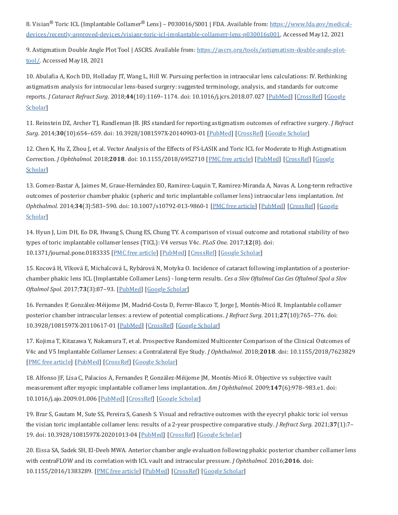<span id="page-21-0"></span>8. Visian® Toric ICL (Implantable Collamer® Lens) – P030016/S001 | FDA. Available from: <u>https://www.fda.gov/medical-</u> [devices/recently-approved-devices/visianr-toric-icl-implantable-collamerr-lens-p030016s001.](https://www.fda.gov/medical-devices/recently-approved-devices/visianr-toric-icl-implantable-collamerr-lens-p030016s001) Accessed May12, 2021

<span id="page-21-1"></span>9. Astigmatism Double Angle Plot Tool | ASCRS. Available from: [https://ascrs.org/tools/astigmatism-double-angle-plot](https://ascrs.org/tools/astigmatism-double-angle-plot-tool/)tool/. Accessed May18, 2021

<span id="page-21-2"></span>10. Abulafia A, Koch DD, Holladay JT, Wang L, Hill W. Pursuing perfection in intraocular lens calculations: IV. Rethinking astigmatism analysis for intraocular lens-based surgery: suggested terminology, analysis, and standards for outcome reports. *J Cataract Refract Surg*. 2018;**44**(10):1169–1174. doi: [10.1016/j.jcrs.2018.07.027](https://scholar.google.com/scholar_lookup?journal=J+Cataract+Refract+Surg&title=Pursuing+perfection+in+intraocular+lens+calculations:+IV.+Rethinking+astigmatism+analysis+for+intraocular+lens-based+surgery:+suggested+terminology,+analysis,+and+standards+for+outcome+reports&volume=44&issue=10&publication_year=2018&pages=1169-1174&pmid=30243391&doi=10.1016/j.jcrs.2018.07.027&) [[PubMed\]](https://pubmed.ncbi.nlm.nih.gov/30243391) [[CrossRef](https://doi.org/10.1016%2Fj.jcrs.2018.07.027)] [Google Scholar<sup>[1]</sup>

<span id="page-21-3"></span>11. Reinstein DZ, Archer TJ, Randleman JB. JRS standard for reporting astigmatism outcomes of refractive surgery. *J Refract Surg*. 2014;**30**(10):654–659. doi: 10.3928/1081597X-20140903-01 [[PubMed](https://pubmed.ncbi.nlm.nih.gov/25291747)] [[CrossRef\]](https://doi.org/10.3928%2F1081597X-20140903-01) [Google [Scholar](https://scholar.google.com/scholar_lookup?journal=J+Refract+Surg&title=JRS+standard+for+reporting+astigmatism+outcomes+of+refractive+surgery&volume=30&issue=10&publication_year=2014&pages=654-659&pmid=25291747&doi=10.3928/1081597X-20140903-01&)]

<span id="page-21-4"></span>12. Chen K, Hu Z, Zhou J, et al. Vector Analysis of the Effects of FS-LASIK and Toric ICL for Moderate to High Astigmatism Correction. *J Ophthalmol*. 2018;**2018**. doi: [10.1155/2018/6952710](https://scholar.google.com/scholar_lookup?journal=J+Ophthalmol&title=Vector+Analysis+of+the+Effects+of+FS-LASIK+and+Toric+ICL+for+Moderate+to+High+Astigmatism+Correction&volume=2018&publication_year=2018&doi=10.1155/2018/6952710&) [PMC free [article](https://www.ncbi.nlm.nih.gov/pmc/articles/PMC6083598/)] [[PubMed\]](https://pubmed.ncbi.nlm.nih.gov/30147948) [\[CrossRef\]](https://doi.org/10.1155%2F2018%2F6952710) [Google Scholar]

<span id="page-21-5"></span>13. Gomez-Bastar A, Jaimes M, Graue-Hernández EO, Ramirez-Luquin T, Ramirez-Miranda A, Navas A. Long-term refractive outcomes of posterior chamber phakic (spheric and toric implantable collamer lens) intraocular lens implantation. *Int Ophthalmol*. 2014;**34**(3):583–590. doi: [10.1007/s10792-013-9860-1](https://scholar.google.com/scholar_lookup?journal=Int+Ophthalmol&title=Long-term+refractive+outcomes+of+posterior+chamber+phakic+(spheric+and+toric+implantable+collamer+lens)+intraocular+lens+implantation&volume=34&issue=3&publication_year=2014&pages=583-590&pmid=24114502&doi=10.1007/s10792-013-9860-1&) [PMC free [article\]](https://www.ncbi.nlm.nih.gov/pmc/articles/PMC4028544/) [[PubMed](https://pubmed.ncbi.nlm.nih.gov/24114502)] [[CrossRef](https://doi.org/10.1007%2Fs10792-013-9860-1)] [Google Scholar]

<span id="page-21-6"></span>14. Hyun J, Lim DH, Eo DR, Hwang S, Chung ES, Chung TY. A comparison of visual outcome and rotational stability of two types of toric implantable collamer lenses (TICL): V4 versus V4c. *PLoS One*. 2017;**12**(8). doi: 10.1371/journal.pone.0183335 [PMC free [article](https://www.ncbi.nlm.nih.gov/pmc/articles/PMC5573270/)] [[PubMed\]](https://pubmed.ncbi.nlm.nih.gov/28846701) [[CrossRef](https://doi.org/10.1371%2Fjournal.pone.0183335)] [Google [Scholar](https://scholar.google.com/scholar_lookup?journal=PLoS+One&title=A+comparison+of+visual+outcome+and+rotational+stability+of+two+types+of+toric+implantable+collamer+lenses+(TICL):+V4+versus+V4c&volume=12&issue=8&publication_year=2017&doi=10.1371/journal.pone.0183335&)]

<span id="page-21-7"></span>15. Kocová H, Vlková E, Michalcová L, Rybárová N, Motyka O. Incidence of cataract following implantation of a posteriorchamber phakic lens ICL (Implantable Collamer Lens) - long-term results. *Ces a Slov Oftalmol Cas Ces Oftalmol Spol a Slov Oftalmol Spol*. 2017;**73**(3):87–93. [[PubMed](https://pubmed.ncbi.nlm.nih.gov/29394074)] [Google [Scholar\]](https://scholar.google.com/scholar_lookup?journal=Ces+a+Slov+Oftalmol+Cas+Ces+Oftalmol+Spol+a+Slov+Oftalmol+Spol&title=Incidence+of+cataract+following+implantation+of+a+posterior-chamber+phakic+lens+ICL+(Implantable+Collamer+Lens)+-+long-term+results&volume=73&issue=3&publication_year=2017&pages=87-93&)

<span id="page-21-8"></span>16. Fernandes P, González-Méijome JM, Madrid-Costa D, Ferrer-Blasco T, Jorge J, Montés-Micó R. Implantable collamer posterior chamber intraocular lenses: a review of potential complications. *J Refract Surg*. 2011;**27**(10):765–776. doi: 10.3928/1081597X-20110617-01 [\[PubMed](https://pubmed.ncbi.nlm.nih.gov/21710954)] [[CrossRef](https://doi.org/10.3928%2F1081597X-20110617-01)] [Google [Scholar\]](https://scholar.google.com/scholar_lookup?journal=J+Refract+Surg&title=Implantable+collamer+posterior+chamber+intraocular+lenses:+a+review+of+potential+complications&volume=27&issue=10&publication_year=2011&pages=765-776&pmid=21710954&doi=10.3928/1081597X-20110617-01&)

<span id="page-21-9"></span>17. Kojima T, Kitazawa Y, Nakamura T, et al. Prospective Randomized Multicenter Comparison of the Clinical Outcomes of V4c and V5 Implantable Collamer Lenses: a Contralateral Eye Study. *J Ophthalmol*. 2018;**2018**. doi: 10.1155/2018/7623829 [PMC free [article](https://www.ncbi.nlm.nih.gov/pmc/articles/PMC6145048/)] [[PubMed\]](https://pubmed.ncbi.nlm.nih.gov/30254757) [[CrossRef](https://doi.org/10.1155%2F2018%2F7623829)] [Google [Scholar\]](https://scholar.google.com/scholar_lookup?journal=J+Ophthalmol&title=Prospective+Randomized+Multicenter+Comparison+of+the+Clinical+Outcomes+of+V4c+and+V5+Implantable+Collamer+Lenses:+a+Contralateral+Eye+Study&volume=2018&publication_year=2018&doi=10.1155/2018/7623829&)

<span id="page-21-10"></span>18. Alfonso JF, Lisa C, Palacios A, Fernandes P, González-Méijome JM, Montés-Micó R. Objective vs subjective vault measurement after myopic implantable collamer lens implantation. *Am J Ophthalmol*. 2009;**147**(6):978–983.e1. doi: 10.1016/j.ajo.2009.01.006 [[PubMed\]](https://pubmed.ncbi.nlm.nih.gov/19285654) [\[CrossRef\]](https://doi.org/10.1016%2Fj.ajo.2009.01.006) [Google [Scholar](https://scholar.google.com/scholar_lookup?journal=Am+J+Ophthalmol&title=Objective+vs+subjective+vault+measurement+after+myopic+implantable+collamer+lens+implantation&volume=147&issue=6&publication_year=2009&pages=978-983.e1&pmid=19285654&doi=10.1016/j.ajo.2009.01.006&)]

<span id="page-21-11"></span>19. Brar S, Gautam M, Sute SS, Pereira S, Ganesh S. Visual and refractive outcomes with the eyecryl phakic toric iol versus the visian toric implantable collamer lens: results of a 2-year prospective comparative study. *J Refract Surg*. 2021;**37**(1):7– 19. doi: 10.3928/1081597X-20201013-04 [\[PubMed](https://pubmed.ncbi.nlm.nih.gov/33432990)] [[CrossRef\]](https://doi.org/10.3928%2F1081597X-20201013-04) [Google [Scholar\]](https://scholar.google.com/scholar_lookup?journal=J+Refract+Surg&title=Visual+and+refractive+outcomes+with+the+eyecryl+phakic+toric+iol+versus+the+visian+toric+implantable+collamer+lens:+results+of+a+2-year+prospective+comparative+study&volume=37&issue=1&publication_year=2021&pages=7-19&pmid=33432990&doi=10.3928/1081597X-20201013-04&)

<span id="page-21-12"></span>20. Eissa SA, Sadek SH, El-Deeb MWA. Anterior chamber angle evaluation following phakic posterior chamber collamer lens with centraFLOW and its correlation with ICL vault and intraocular pressure. *J Ophthalmol*. 2016;**2016**. doi: 10.1155/2016/1383289. [PMC free [article](https://www.ncbi.nlm.nih.gov/pmc/articles/PMC5178359/)] [[PubMed\]](https://pubmed.ncbi.nlm.nih.gov/28053776) [[CrossRef\]](https://doi.org/10.1155%2F2016%2F1383289) [Google [Scholar\]](https://scholar.google.com/scholar_lookup?journal=J+Ophthalmol&title=Anterior+chamber+angle+evaluation+following+phakic+posterior+chamber+collamer+lens+with+centraFLOW+and+its+correlation+with+ICL+vault+and+intraocular+pressure&volume=2016&publication_year=2016&doi=10.1155/2016/1383289&)